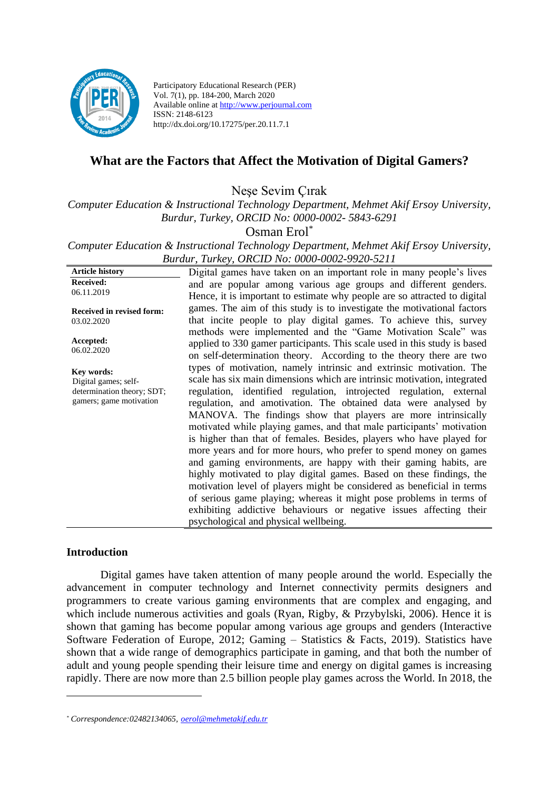

Participatory Educational Research (PER) Vol. 7(1), pp. 184-200, March 2020 Available online at http://www.perjournal.com ISSN: 2148-6123 http://dx.doi.org/10.17275/per.20.11.7.1

# **What are the Factors that Affect the Motivation of Digital Gamers?**

Neşe Sevim Çırak

*Computer Education & Instructional Technology Department, Mehmet Akif Ersoy University, Burdur, Turkey, ORCID No: 0000-0002- 5843-6291*

Osman Erol\*

*Computer Education & Instructional Technology Department, Mehmet Akif Ersoy University, Burdur, Turkey, ORCID No: 0000-0002-9920-5211*

**Article history Received:**  06.11.2019 **Received in revised form:**  03.02.2020 **Accepted:** 06.02.2020 Digital games have taken on an important role in many people's lives and are popular among various age groups and different genders. Hence, it is important to estimate why people are so attracted to digital games. The aim of this study is to investigate the motivational factors that incite people to play digital games. To achieve this, survey methods were implemented and the "Game Motivation Scale" was applied to 330 gamer participants. This scale used in this study is based on self-determination theory. According to the theory there are two types of motivation, namely intrinsic and extrinsic motivation. The scale has six main dimensions which are intrinsic motivation, integrated regulation, identified regulation, introjected regulation, external regulation, and amotivation. The obtained data were analysed by MANOVA. The findings show that players are more intrinsically motivated while playing games, and that male participants' motivation is higher than that of females. Besides, players who have played for more years and for more hours, who prefer to spend money on games and gaming environments, are happy with their gaming habits, are highly motivated to play digital games. Based on these findings, the motivation level of players might be considered as beneficial in terms of serious game playing; whereas it might pose problems in terms of exhibiting addictive behaviours or negative issues affecting their psychological and physical wellbeing. **Key words:** Digital games; selfdetermination theory; SDT; gamers; game motivation

### **Introduction**

Digital games have taken attention of many people around the world. Especially the advancement in computer technology and Internet connectivity permits designers and programmers to create various gaming environments that are complex and engaging, and which include numerous activities and goals (Ryan, Rigby, & Przybylski, 2006). Hence it is shown that gaming has become popular among various age groups and genders (Interactive Software Federation of Europe, 2012; Gaming – Statistics & Facts, 2019). Statistics have shown that a wide range of demographics participate in gaming, and that both the number of adult and young people spending their leisure time and energy on digital games is increasing rapidly. There are now more than 2.5 billion people play games across the World. In 2018, the

*<sup>\*</sup> Correspondence:02482134065, [oerol@mehmetakif.edu.tr](mailto:oerol@mehmetakif.edu.tr)*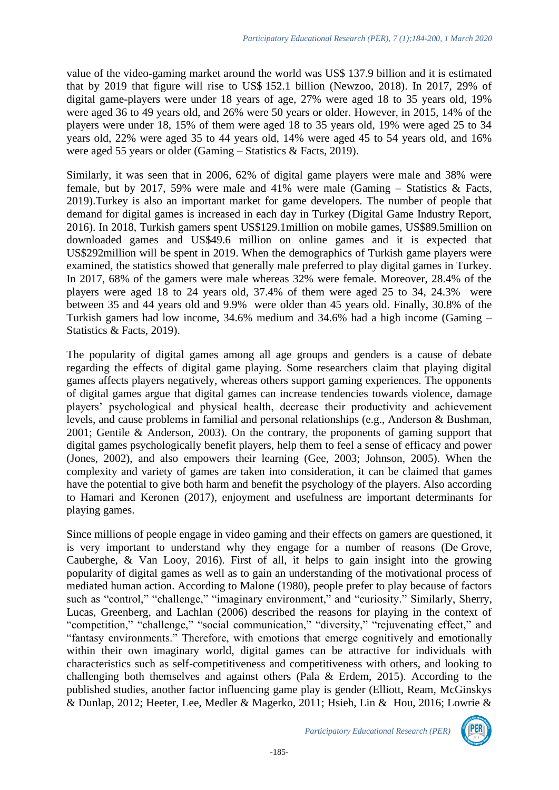value of the video-gaming market around the world was US\$ 137.9 billion and it is estimated that by 2019 that figure will rise to US\$ 152.1 billion (Newzoo, 2018). In 2017, 29% of digital game-players were under 18 years of age, 27% were aged 18 to 35 years old, 19% were aged 36 to 49 years old, and 26% were 50 years or older. However, in 2015, 14% of the players were under 18, 15% of them were aged 18 to 35 years old, 19% were aged 25 to 34 years old, 22% were aged 35 to 44 years old, 14% were aged 45 to 54 years old, and 16% were aged 55 years or older (Gaming – Statistics & Facts, 2019).

Similarly, it was seen that in 2006, 62% of digital game players were male and 38% were female, but by 2017, 59% were male and 41% were male (Gaming – Statistics & Facts, 2019).Turkey is also an important market for game developers. The number of people that demand for digital games is increased in each day in Turkey (Digital Game Industry Report, 2016). In 2018, Turkish gamers spent US\$129.1million on mobile games, US\$89.5million on downloaded games and US\$49.6 million on online games and it is expected that US\$292million will be spent in 2019. When the demographics of Turkish game players were examined, the statistics showed that generally male preferred to play digital games in Turkey. In 2017, 68% of the gamers were male whereas 32% were female. Moreover, 28.4% of the players were aged 18 to 24 years old, 37.4% of them were aged 25 to 34, 24.3% were between 35 and 44 years old and 9.9% were older than 45 years old. Finally, 30.8% of the Turkish gamers had low income, 34.6% medium and 34.6% had a high income (Gaming – Statistics & Facts, 2019).

The popularity of digital games among all age groups and genders is a cause of debate regarding the effects of digital game playing. Some researchers claim that playing digital games affects players negatively, whereas others support gaming experiences. The opponents of digital games argue that digital games can increase tendencies towards violence, damage players' psychological and physical health, decrease their productivity and achievement levels, and cause problems in familial and personal relationships (e.g., Anderson & Bushman, 2001; Gentile & Anderson, 2003). On the contrary, the proponents of gaming support that digital games psychologically benefit players, help them to feel a sense of efficacy and power (Jones, 2002), and also empowers their learning (Gee, 2003; Johnson, 2005). When the complexity and variety of games are taken into consideration, it can be claimed that games have the potential to give both harm and benefit the psychology of the players. Also according to Hamari and Keronen (2017), enjoyment and usefulness are important determinants for playing games.

Since millions of people engage in video gaming and their effects on gamers are questioned, it is very important to understand why they engage for a number of reasons (De Grove, Cauberghe, & Van Looy, 2016). First of all, it helps to gain insight into the growing popularity of digital games as well as to gain an understanding of the motivational process of mediated human action. According to Malone (1980), people prefer to play because of factors such as "control," "challenge," "imaginary environment," and "curiosity." Similarly, Sherry, Lucas, Greenberg, and Lachlan (2006) described the reasons for playing in the context of "competition," "challenge," "social communication," "diversity," "rejuvenating effect," and "fantasy environments." Therefore, with emotions that emerge cognitively and emotionally within their own imaginary world, digital games can be attractive for individuals with characteristics such as self-competitiveness and competitiveness with others, and looking to challenging both themselves and against others (Pala & Erdem, 2015). According to the published studies, another factor influencing game play is gender (Elliott, Ream, McGinskys & Dunlap, 2012; Heeter, Lee, Medler & Magerko, 2011; Hsieh, Lin & Hou, 2016; Lowrie &

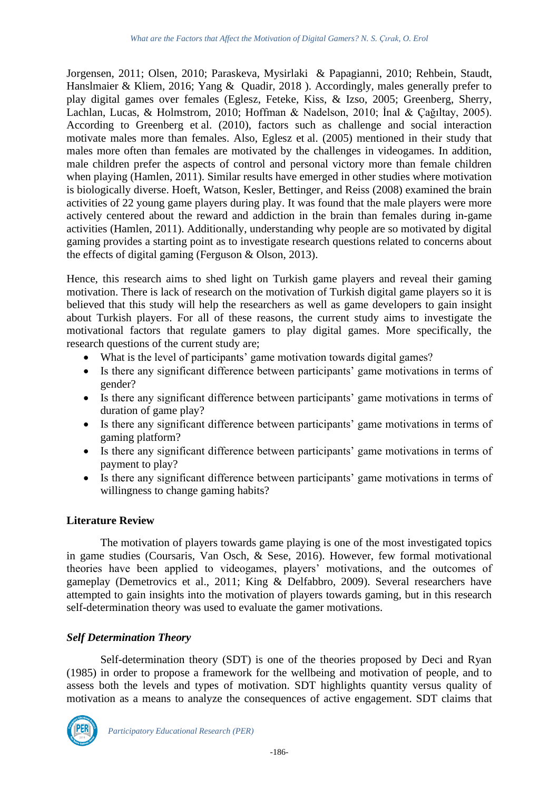Jorgensen, 2011; Olsen, 2010; Paraskeva, Mysirlaki & Papagianni, 2010; Rehbein, Staudt, Hanslmaier & Kliem, 2016; Yang & Quadir, 2018 ). Accordingly, males generally prefer to play digital games over females (Eglesz, Feteke, Kiss, & Izso, 2005; Greenberg, Sherry, Lachlan, Lucas, & Holmstrom, 2010; Hoffman & Nadelson, 2010; İnal & Çağıltay, 2005). According to Greenberg et al. (2010), factors such as challenge and social interaction motivate males more than females. Also, Eglesz et al. (2005) mentioned in their study that males more often than females are motivated by the challenges in videogames. In addition, male children prefer the aspects of control and personal victory more than female children when playing (Hamlen, 2011). Similar results have emerged in other studies where motivation is biologically diverse. Hoeft, Watson, Kesler, Bettinger, and Reiss (2008) examined the brain activities of 22 young game players during play. It was found that the male players were more actively centered about the reward and addiction in the brain than females during in-game activities (Hamlen, 2011). Additionally, understanding why people are so motivated by digital gaming provides a starting point as to investigate research questions related to concerns about the effects of digital gaming (Ferguson & Olson, 2013).

Hence, this research aims to shed light on Turkish game players and reveal their gaming motivation. There is lack of research on the motivation of Turkish digital game players so it is believed that this study will help the researchers as well as game developers to gain insight about Turkish players. For all of these reasons, the current study aims to investigate the motivational factors that regulate gamers to play digital games. More specifically, the research questions of the current study are;

- What is the level of participants' game motivation towards digital games?
- Is there any significant difference between participants' game motivations in terms of gender?
- Is there any significant difference between participants' game motivations in terms of duration of game play?
- Is there any significant difference between participants' game motivations in terms of gaming platform?
- Is there any significant difference between participants' game motivations in terms of payment to play?
- Is there any significant difference between participants' game motivations in terms of willingness to change gaming habits?

# **Literature Review**

The motivation of players towards game playing is one of the most investigated topics in game studies (Coursaris, Van Osch, & Sese, 2016). However, few formal motivational theories have been applied to videogames, players' motivations, and the outcomes of gameplay (Demetrovics et al., 2011; King & Delfabbro, 2009). Several researchers have attempted to gain insights into the motivation of players towards gaming, but in this research self-determination theory was used to evaluate the gamer motivations.

## *Self Determination Theory*

Self-determination theory (SDT) is one of the theories proposed by Deci and Ryan (1985) in order to propose a framework for the wellbeing and motivation of people, and to assess both the levels and types of motivation. SDT highlights quantity versus quality of motivation as a means to analyze the consequences of active engagement. SDT claims that

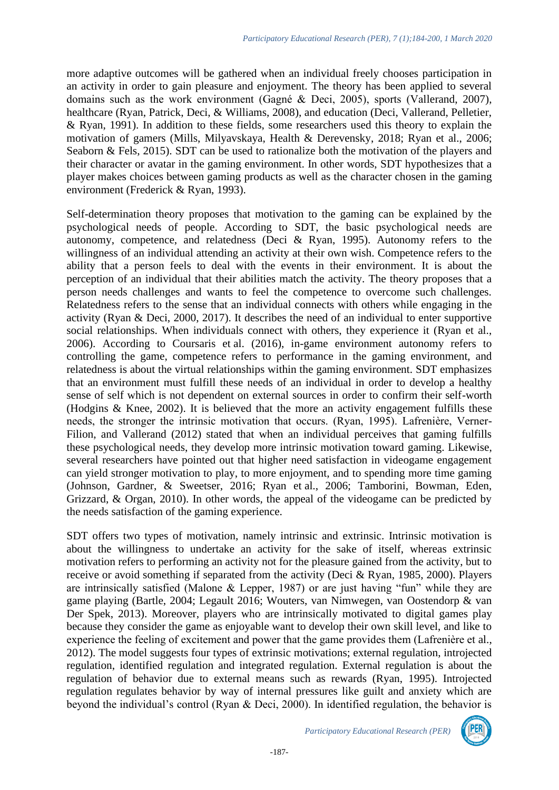more adaptive outcomes will be gathered when an individual freely chooses participation in an activity in order to gain pleasure and enjoyment. The theory has been applied to several domains such as the work environment (Gagné & Deci, 2005), sports (Vallerand, 2007), healthcare (Ryan, Patrick, Deci, & Williams, 2008), and education (Deci, Vallerand, Pelletier, & Ryan, 1991). In addition to these fields, some researchers used this theory to explain the motivation of gamers (Mills, Milyavskaya, Health & Derevensky, 2018; Ryan et al., 2006; Seaborn & Fels, 2015). SDT can be used to rationalize both the motivation of the players and their character or avatar in the gaming environment. In other words, SDT hypothesizes that a player makes choices between gaming products as well as the character chosen in the gaming environment (Frederick & Ryan, 1993).

Self-determination theory proposes that motivation to the gaming can be explained by the psychological needs of people. According to SDT, the basic psychological needs are autonomy, competence, and relatedness (Deci & Ryan, 1995). Autonomy refers to the willingness of an individual attending an activity at their own wish. Competence refers to the ability that a person feels to deal with the events in their environment. It is about the perception of an individual that their abilities match the activity. The theory proposes that a person needs challenges and wants to feel the competence to overcome such challenges. Relatedness refers to the sense that an individual connects with others while engaging in the activity (Ryan & Deci, 2000, 2017). It describes the need of an individual to enter supportive social relationships. When individuals connect with others, they experience it (Ryan et al., 2006). According to Coursaris et al. (2016), in-game environment autonomy refers to controlling the game, competence refers to performance in the gaming environment, and relatedness is about the virtual relationships within the gaming environment. SDT emphasizes that an environment must fulfill these needs of an individual in order to develop a healthy sense of self which is not dependent on external sources in order to confirm their self-worth (Hodgins & Knee, 2002). It is believed that the more an activity engagement fulfills these needs, the stronger the intrinsic motivation that occurs. (Ryan, 1995). Lafrenière, Verner-Filion, and Vallerand (2012) stated that when an individual perceives that gaming fulfills these psychological needs, they develop more intrinsic motivation toward gaming. Likewise, several researchers have pointed out that higher need satisfaction in videogame engagement can yield stronger motivation to play, to more enjoyment, and to spending more time gaming (Johnson, Gardner, & Sweetser, 2016; Ryan et al., 2006; Tamborini, Bowman, Eden, Grizzard, & Organ, 2010). In other words, the appeal of the videogame can be predicted by the needs satisfaction of the gaming experience.

SDT offers two types of motivation, namely intrinsic and extrinsic. Intrinsic motivation is about the willingness to undertake an activity for the sake of itself, whereas extrinsic motivation refers to performing an activity not for the pleasure gained from the activity, but to receive or avoid something if separated from the activity (Deci & Ryan, 1985, 2000). Players are intrinsically satisfied (Malone & Lepper, 1987) or are just having "fun" while they are game playing (Bartle, 2004; Legault 2016; Wouters, van Nimwegen, van Oostendorp & van Der Spek, 2013). Moreover, players who are intrinsically motivated to digital games play because they consider the game as enjoyable want to develop their own skill level, and like to experience the feeling of excitement and power that the game provides them (Lafrenière et al., 2012). The model suggests four types of extrinsic motivations; external regulation, introjected regulation, identified regulation and integrated regulation. External regulation is about the regulation of behavior due to external means such as rewards (Ryan, 1995). Introjected regulation regulates behavior by way of internal pressures like guilt and anxiety which are beyond the individual's control (Ryan & Deci, 2000). In identified regulation, the behavior is

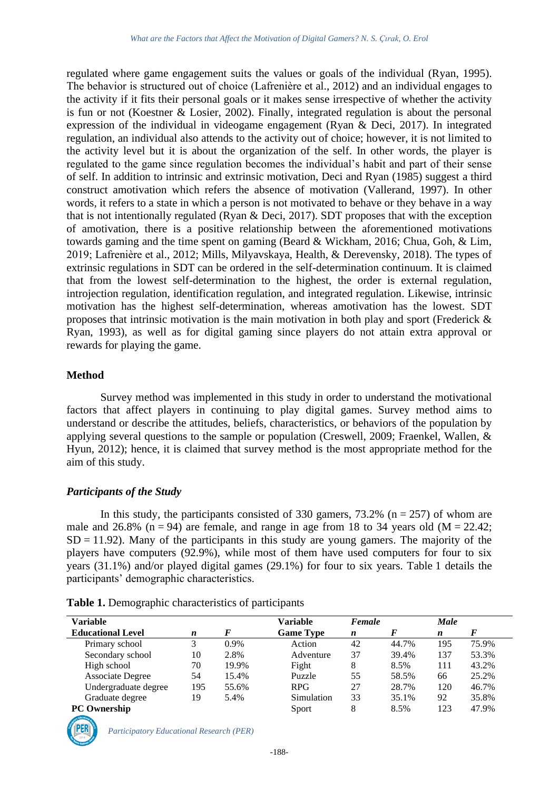regulated where game engagement suits the values or goals of the individual (Ryan, 1995). The behavior is structured out of choice (Lafrenière et al., 2012) and an individual engages to the activity if it fits their personal goals or it makes sense irrespective of whether the activity is fun or not (Koestner & Losier, 2002). Finally, integrated regulation is about the personal expression of the individual in videogame engagement (Ryan & Deci, 2017). In integrated regulation, an individual also attends to the activity out of choice; however, it is not limited to the activity level but it is about the organization of the self. In other words, the player is regulated to the game since regulation becomes the individual's habit and part of their sense of self. In addition to intrinsic and extrinsic motivation, Deci and Ryan (1985) suggest a third construct amotivation which refers the absence of motivation (Vallerand, 1997). In other words, it refers to a state in which a person is not motivated to behave or they behave in a way that is not intentionally regulated (Ryan & Deci, 2017). SDT proposes that with the exception of amotivation, there is a positive relationship between the aforementioned motivations towards gaming and the time spent on gaming (Beard & Wickham, 2016; Chua, Goh, & Lim, 2019; Lafrenière et al., 2012; Mills, Milyavskaya, Health, & Derevensky, 2018). The types of extrinsic regulations in SDT can be ordered in the self-determination continuum. It is claimed that from the lowest self-determination to the highest, the order is external regulation, introjection regulation, identification regulation, and integrated regulation. Likewise, intrinsic motivation has the highest self-determination, whereas amotivation has the lowest. SDT proposes that intrinsic motivation is the main motivation in both play and sport (Frederick & Ryan, 1993), as well as for digital gaming since players do not attain extra approval or rewards for playing the game.

#### **Method**

Survey method was implemented in this study in order to understand the motivational factors that affect players in continuing to play digital games. Survey method aims to understand or describe the attitudes, beliefs, characteristics, or behaviors of the population by applying several questions to the sample or population (Creswell, 2009; Fraenkel, Wallen, & Hyun, 2012); hence, it is claimed that survey method is the most appropriate method for the aim of this study.

#### *Participants of the Study*

In this study, the participants consisted of 330 gamers,  $73.2\%$  (n = 257) of whom are male and 26.8% ( $n = 94$ ) are female, and range in age from 18 to 34 years old ( $M = 22.42$ ;  $SD = 11.92$ ). Many of the participants in this study are young gamers. The majority of the players have computers (92.9%), while most of them have used computers for four to six years (31.1%) and/or played digital games (29.1%) for four to six years. Table 1 details the participants' demographic characteristics.

| <b>Variable</b>          |                  |         | <b>Variable</b>  | Female           |       | <b>Male</b>      |       |
|--------------------------|------------------|---------|------------------|------------------|-------|------------------|-------|
| <b>Educational Level</b> | $\boldsymbol{n}$ | F       | <b>Game Type</b> | $\boldsymbol{n}$ | F     | $\boldsymbol{n}$ | F     |
| Primary school           | 3                | $0.9\%$ | Action           | 42               | 44.7% | 195              | 75.9% |
| Secondary school         | 10               | 2.8%    | Adventure        | 37               | 39.4% | 137              | 53.3% |
| High school              | 70               | 19.9%   | Fight            | 8                | 8.5%  | 111              | 43.2% |
| <b>Associate Degree</b>  | 54               | 15.4%   | Puzzle           | 55               | 58.5% | 66               | 25.2% |
| Undergraduate degree     | 195              | 55.6%   | RPG.             | 27               | 28.7% | 120              | 46.7% |
| Graduate degree          | 19               | 5.4%    | Simulation       | 33               | 35.1% | 92               | 35.8% |
| <b>PC</b> Ownership      |                  |         | Sport            | 8                | 8.5%  | 123              | 47.9% |

**Table 1.** Demographic characteristics of participants

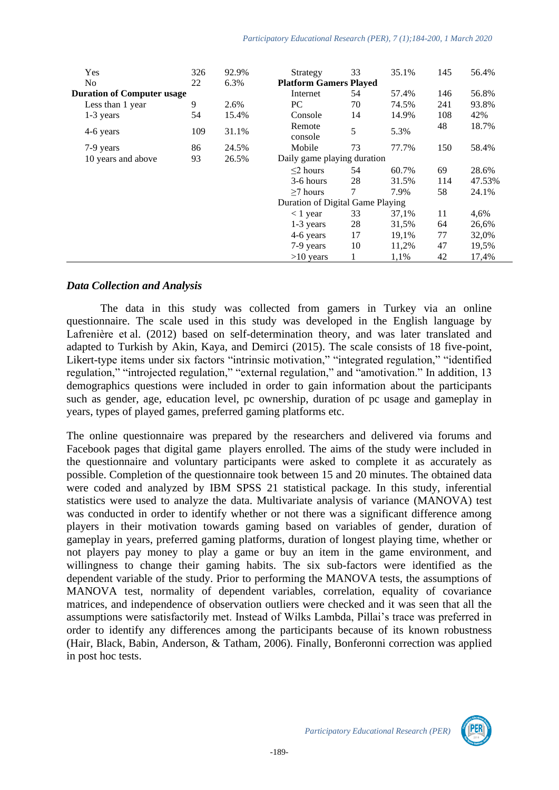| Yes                               | 326 | 92.9% | Strategy                         | 33 | 35.1% | 145 | 56.4%  |
|-----------------------------------|-----|-------|----------------------------------|----|-------|-----|--------|
| N <sub>0</sub>                    | 22  | 6.3%  | <b>Platform Gamers Played</b>    |    |       |     |        |
| <b>Duration of Computer usage</b> |     |       | Internet                         | 54 | 57.4% | 146 | 56.8%  |
| Less than 1 year                  | 9   | 2.6%  | PC                               | 70 | 74.5% | 241 | 93.8%  |
| $1-3$ years                       | 54  | 15.4% | Console                          | 14 | 14.9% | 108 | 42%    |
| 4-6 years                         | 109 | 31.1% | Remote<br>console                | 5  | 5.3%  | 48  | 18.7%  |
| 7-9 years                         | 86  | 24.5% | Mobile                           | 73 | 77.7% | 150 | 58.4%  |
| 10 years and above                | 93  | 26.5% | Daily game playing duration      |    |       |     |        |
|                                   |     |       | $\leq$ 2 hours                   | 54 | 60.7% | 69  | 28.6%  |
|                                   |     |       | 3-6 hours                        | 28 | 31.5% | 114 | 47.53% |
|                                   |     |       | $\geq$ 7 hours                   | 7  | 7.9%  | 58  | 24.1%  |
|                                   |     |       | Duration of Digital Game Playing |    |       |     |        |
|                                   |     |       | $< 1$ year                       | 33 | 37,1% | 11  | 4,6%   |
|                                   |     |       | $1-3$ years                      | 28 | 31,5% | 64  | 26,6%  |
|                                   |     |       | 4-6 years                        | 17 | 19,1% | 77  | 32,0%  |
|                                   |     |       | 7-9 years                        | 10 | 11,2% | 47  | 19,5%  |
|                                   |     |       | $>10$ years                      |    | 1,1%  | 42  | 17,4%  |

### *Data Collection and Analysis*

The data in this study was collected from gamers in Turkey via an online questionnaire. The scale used in this study was developed in the English language by Lafrenière et al. (2012) based on self-determination theory, and was later translated and adapted to Turkish by Akin, Kaya, and Demirci (2015). The scale consists of 18 five-point, Likert-type items under six factors "intrinsic motivation," "integrated regulation," "identified regulation," "introjected regulation," "external regulation," and "amotivation." In addition, 13 demographics questions were included in order to gain information about the participants such as gender, age, education level, pc ownership, duration of pc usage and gameplay in years, types of played games, preferred gaming platforms etc.

The online questionnaire was prepared by the researchers and delivered via forums and Facebook pages that digital game players enrolled. The aims of the study were included in the questionnaire and voluntary participants were asked to complete it as accurately as possible. Completion of the questionnaire took between 15 and 20 minutes. The obtained data were coded and analyzed by IBM SPSS 21 statistical package. In this study, inferential statistics were used to analyze the data. Multivariate analysis of variance (MANOVA) test was conducted in order to identify whether or not there was a significant difference among players in their motivation towards gaming based on variables of gender, duration of gameplay in years, preferred gaming platforms, duration of longest playing time, whether or not players pay money to play a game or buy an item in the game environment, and willingness to change their gaming habits. The six sub-factors were identified as the dependent variable of the study. Prior to performing the MANOVA tests, the assumptions of MANOVA test, normality of dependent variables, correlation, equality of covariance matrices, and independence of observation outliers were checked and it was seen that all the assumptions were satisfactorily met. Instead of Wilks Lambda, Pillai's trace was preferred in order to identify any differences among the participants because of its known robustness (Hair, Black, Babin, Anderson, & Tatham, 2006). Finally, Bonferonni correction was applied in post hoc tests.

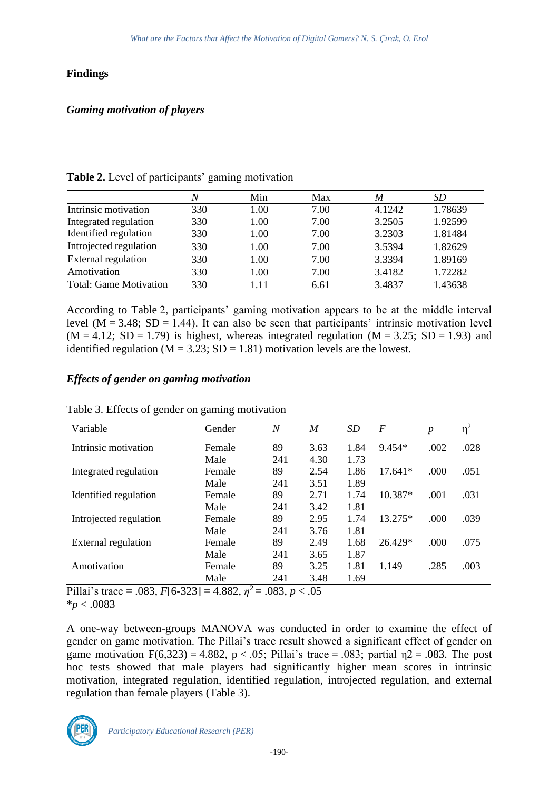### **Findings**

### *Gaming motivation of players*

#### **Table 2.** Level of participants' gaming motivation

|                               | N   | Min  | Max  | M      | SD      |
|-------------------------------|-----|------|------|--------|---------|
| Intrinsic motivation          | 330 | 1.00 | 7.00 | 4.1242 | 1.78639 |
| Integrated regulation         | 330 | 1.00 | 7.00 | 3.2505 | 1.92599 |
| Identified regulation         | 330 | 1.00 | 7.00 | 3.2303 | 1.81484 |
| Introjected regulation        | 330 | 1.00 | 7.00 | 3.5394 | 1.82629 |
| External regulation           | 330 | 1.00 | 7.00 | 3.3394 | 1.89169 |
| Amotivation                   | 330 | 1.00 | 7.00 | 3.4182 | 1.72282 |
| <b>Total: Game Motivation</b> | 330 | 111  | 6.61 | 3.4837 | 1.43638 |

According to Table 2, participants' gaming motivation appears to be at the middle interval level  $(M = 3.48; SD = 1.44)$ . It can also be seen that participants' intrinsic motivation level  $(M = 4.12; SD = 1.79)$  is highest, whereas integrated regulation  $(M = 3.25; SD = 1.93)$  and identified regulation ( $M = 3.23$ ; SD = 1.81) motivation levels are the lowest.

## *Effects of gender on gaming motivation*

| Variable               | Gender | N   | M    | <i>SD</i> | $\boldsymbol{F}$ | $\boldsymbol{p}$ | $\eta^2$ |
|------------------------|--------|-----|------|-----------|------------------|------------------|----------|
| Intrinsic motivation   | Female | 89  | 3.63 | 1.84      | $9.454*$         | .002             | .028     |
|                        | Male   | 241 | 4.30 | 1.73      |                  |                  |          |
| Integrated regulation  | Female | 89  | 2.54 | 1.86      | $17.641*$        | .000             | .051     |
|                        | Male   | 241 | 3.51 | 1.89      |                  |                  |          |
| Identified regulation  | Female | 89  | 2.71 | 1.74      | 10.387*          | .001             | .031     |
|                        | Male   | 241 | 3.42 | 1.81      |                  |                  |          |
| Introjected regulation | Female | 89  | 2.95 | 1.74      | 13.275*          | .000             | .039     |
|                        | Male   | 241 | 3.76 | 1.81      |                  |                  |          |
| External regulation    | Female | 89  | 2.49 | 1.68      | 26.429*          | .000             | .075     |
|                        | Male   | 241 | 3.65 | 1.87      |                  |                  |          |
| Amotivation            | Female | 89  | 3.25 | 1.81      | 1.149            | .285             | .003     |
|                        | Male   | 241 | 3.48 | 1.69      |                  |                  |          |

Table 3. Effects of gender on gaming motivation

Pillai's trace = .083, *F*[6-323] = 4.882, *η* <sup>2</sup> = .083, *p* < .05 \**p* < .0083

A one-way between-groups MANOVA was conducted in order to examine the effect of gender on game motivation. The Pillai's trace result showed a significant effect of gender on game motivation  $F(6,323) = 4.882$ ,  $p < .05$ ; Pillai's trace = .083; partial  $p_1/2 = .083$ . The post hoc tests showed that male players had significantly higher mean scores in intrinsic motivation, integrated regulation, identified regulation, introjected regulation, and external regulation than female players (Table 3).

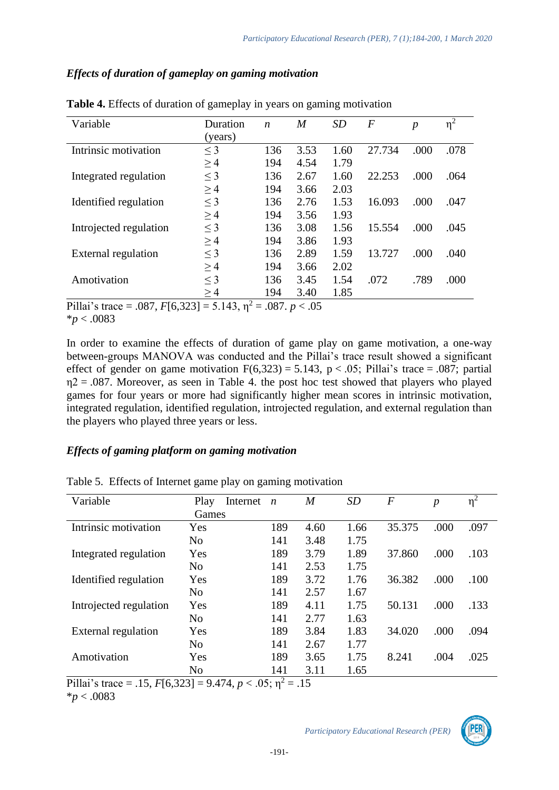## *Effects of duration of gameplay on gaming motivation*

| Variable               | Duration<br>(years) | $\boldsymbol{n}$ | M    | SD   | F      | $\boldsymbol{p}$ | $\eta^2$ |
|------------------------|---------------------|------------------|------|------|--------|------------------|----------|
| Intrinsic motivation   |                     | 136              | 3.53 | 1.60 | 27.734 | .000             | .078     |
|                        | $\leq$ 3            |                  |      |      |        |                  |          |
|                        | $\geq$ 4            | 194              | 4.54 | 1.79 |        |                  |          |
| Integrated regulation  | $\leq$ 3            | 136              | 2.67 | 1.60 | 22.253 | .000             | .064     |
|                        | $\geq$ 4            | 194              | 3.66 | 2.03 |        |                  |          |
| Identified regulation  | $\leq$ 3            | 136              | 2.76 | 1.53 | 16.093 | .000             | .047     |
|                        | $\geq$ 4            | 194              | 3.56 | 1.93 |        |                  |          |
| Introjected regulation | $\leq$ 3            | 136              | 3.08 | 1.56 | 15.554 | .000             | .045     |
|                        | $\geq$ 4            | 194              | 3.86 | 1.93 |        |                  |          |
| External regulation    | $\leq$ 3            | 136              | 2.89 | 1.59 | 13.727 | .000             | .040     |
|                        | $\geq$ 4            | 194              | 3.66 | 2.02 |        |                  |          |
| Amotivation            | $\leq$ 3            | 136              | 3.45 | 1.54 | .072   | .789             | .000     |
|                        | $\geq$ 4            | 194              | 3.40 | 1.85 |        |                  |          |

**Table 4.** Effects of duration of gameplay in years on gaming motivation

Pillai's trace = .087,  $F[6,323] = 5.143$ ,  $\eta^2 = .087$ .  $p < .05$ \**p* < .0083

In order to examine the effects of duration of game play on game motivation, a one-way between-groups MANOVA was conducted and the Pillai's trace result showed a significant effect of gender on game motivation  $F(6,323) = 5.143$ ,  $p < .05$ ; Pillai's trace = .087; partial  $\eta$ 2 = .087. Moreover, as seen in Table 4. the post hoc test showed that players who played games for four years or more had significantly higher mean scores in intrinsic motivation, integrated regulation, identified regulation, introjected regulation, and external regulation than the players who played three years or less.

## *Effects of gaming platform on gaming motivation*

| Variable               | Play<br>Internet | $\boldsymbol{n}$ | $\overline{M}$ | SD   | F      | $\boldsymbol{p}$ | $\eta^2$ |
|------------------------|------------------|------------------|----------------|------|--------|------------------|----------|
|                        | Games            |                  |                |      |        |                  |          |
| Intrinsic motivation   | Yes              | 189              | 4.60           | 1.66 | 35.375 | .000             | .097     |
|                        | N <sub>0</sub>   | 141              | 3.48           | 1.75 |        |                  |          |
| Integrated regulation  | Yes              | 189              | 3.79           | 1.89 | 37.860 | .000             | .103     |
|                        | N <sub>0</sub>   | 141              | 2.53           | 1.75 |        |                  |          |
| Identified regulation  | Yes              | 189              | 3.72           | 1.76 | 36.382 | .000             | .100     |
|                        | N <sub>0</sub>   | 141              | 2.57           | 1.67 |        |                  |          |
| Introjected regulation | Yes              | 189              | 4.11           | 1.75 | 50.131 | .000             | .133     |
|                        | N <sub>0</sub>   | 141              | 2.77           | 1.63 |        |                  |          |
| External regulation    | Yes              | 189              | 3.84           | 1.83 | 34.020 | .000             | .094     |
|                        | N <sub>0</sub>   | 141              | 2.67           | 1.77 |        |                  |          |
| Amotivation            | Yes              | 189              | 3.65           | 1.75 | 8.241  | .004             | .025     |
|                        | No               | 141              | 3.11           | 1.65 |        |                  |          |

Table 5. Effects of Internet game play on gaming motivation

Pillai's trace = .15,  $F[6,323] = 9.474$ ,  $p < .05$ ;  $\eta^2 = .15$ 



<sup>\*</sup>*p* < .0083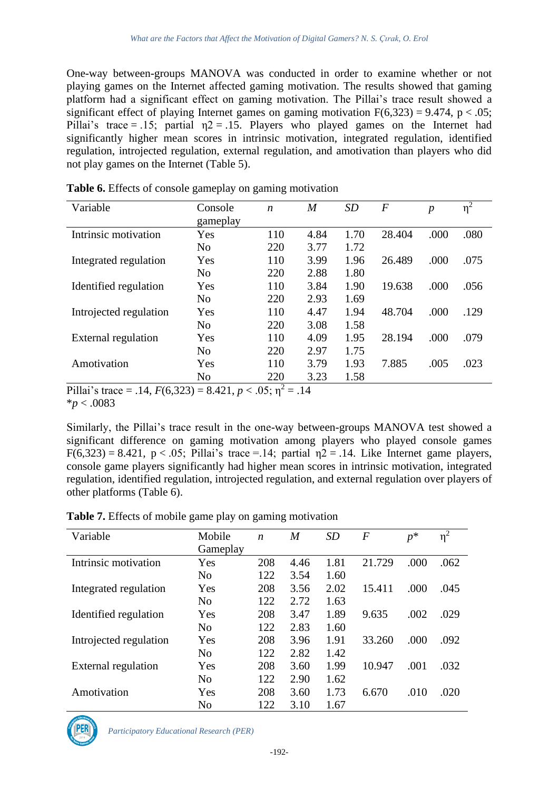One-way between-groups MANOVA was conducted in order to examine whether or not playing games on the Internet affected gaming motivation. The results showed that gaming platform had a significant effect on gaming motivation. The Pillai's trace result showed a significant effect of playing Internet games on gaming motivation  $F(6,323) = 9.474$ , p < .05; Pillai's trace = .15; partial  $\eta$ 2 = .15. Players who played games on the Internet had significantly higher mean scores in intrinsic motivation, integrated regulation, identified regulation, introjected regulation, external regulation, and amotivation than players who did not play games on the Internet (Table 5).

| Variable                                                                 | Console              | $\boldsymbol{n}$   | M    | <i>SD</i> | $\boldsymbol{F}$ | $\boldsymbol{p}$ | $\eta^2$ |
|--------------------------------------------------------------------------|----------------------|--------------------|------|-----------|------------------|------------------|----------|
|                                                                          | gameplay             |                    |      |           |                  |                  |          |
| Intrinsic motivation                                                     | Yes                  | 110                | 4.84 | 1.70      | 28.404           | .000             | .080     |
|                                                                          | N <sub>o</sub>       | 220                | 3.77 | 1.72      |                  |                  |          |
| Integrated regulation                                                    | Yes                  | 110                | 3.99 | 1.96      | 26.489           | .000             | .075     |
|                                                                          | N <sub>o</sub>       | 220                | 2.88 | 1.80      |                  |                  |          |
| Identified regulation                                                    | Yes                  | 110                | 3.84 | 1.90      | 19.638           | .000             | .056     |
|                                                                          | N <sub>o</sub>       | 220                | 2.93 | 1.69      |                  |                  |          |
| Introjected regulation                                                   | Yes                  | 110                | 4.47 | 1.94      | 48.704           | .000             | .129     |
|                                                                          | No                   | 220                | 3.08 | 1.58      |                  |                  |          |
| External regulation                                                      | Yes                  | 110                | 4.09 | 1.95      | 28.194           | .000             | .079     |
|                                                                          | N <sub>o</sub>       | 220                | 2.97 | 1.75      |                  |                  |          |
| Amotivation                                                              | Yes                  | 110                | 3.79 | 1.93      | 7.885            | .005             | .023     |
|                                                                          | No                   | 220                | 3.23 | 1.58      |                  |                  |          |
| 1.11<br>$\mathbf{A}$ $\mathbf{B}$ $\mathbf{B}$ $\mathbf{A}$ $\mathbf{A}$ | $\sim$ $\sim$ $\sim$ | ↑<br>$\sim$ $\sim$ |      |           |                  |                  |          |

**Table 6.** Effects of console gameplay on gaming motivation

Pillai's trace = .14,  $F(6,323) = 8.421$ ,  $p < .05$ ;  $p^2 = .14$ 

\**p* < .0083

Similarly, the Pillai's trace result in the one-way between-groups MANOVA test showed a significant difference on gaming motivation among players who played console games  $F(6,323) = 8.421$ ,  $p < .05$ ; Pillai's trace = 14; partial  $\eta$ 2 = .14. Like Internet game players, console game players significantly had higher mean scores in intrinsic motivation, integrated regulation, identified regulation, introjected regulation, and external regulation over players of other platforms (Table 6).

| Variable               | Mobile         | n   | $\overline{M}$ | <b>SD</b> | $\boldsymbol{F}$ | $p^*$ | $\eta^2$ |
|------------------------|----------------|-----|----------------|-----------|------------------|-------|----------|
|                        | Gameplay       |     |                |           |                  |       |          |
| Intrinsic motivation   | Yes            | 208 | 4.46           | 1.81      | 21.729           | .000  | .062     |
|                        | N <sub>0</sub> | 122 | 3.54           | 1.60      |                  |       |          |
| Integrated regulation  | Yes            | 208 | 3.56           | 2.02      | 15.411           | .000  | .045     |
|                        | N <sub>0</sub> | 122 | 2.72           | 1.63      |                  |       |          |
| Identified regulation  | Yes            | 208 | 3.47           | 1.89      | 9.635            | .002  | .029     |
|                        | N <sub>0</sub> | 122 | 2.83           | 1.60      |                  |       |          |
| Introjected regulation | Yes            | 208 | 3.96           | 1.91      | 33.260           | .000  | .092     |
|                        | N <sub>0</sub> | 122 | 2.82           | 1.42      |                  |       |          |
| External regulation    | Yes            | 208 | 3.60           | 1.99      | 10.947           | .001  | .032     |
|                        | N <sub>0</sub> | 122 | 2.90           | 1.62      |                  |       |          |
| Amotivation            | Yes            | 208 | 3.60           | 1.73      | 6.670            | .010  | .020     |
|                        | N <sub>0</sub> | 122 | 3.10           | 1.67      |                  |       |          |

**Table 7.** Effects of mobile game play on gaming motivation

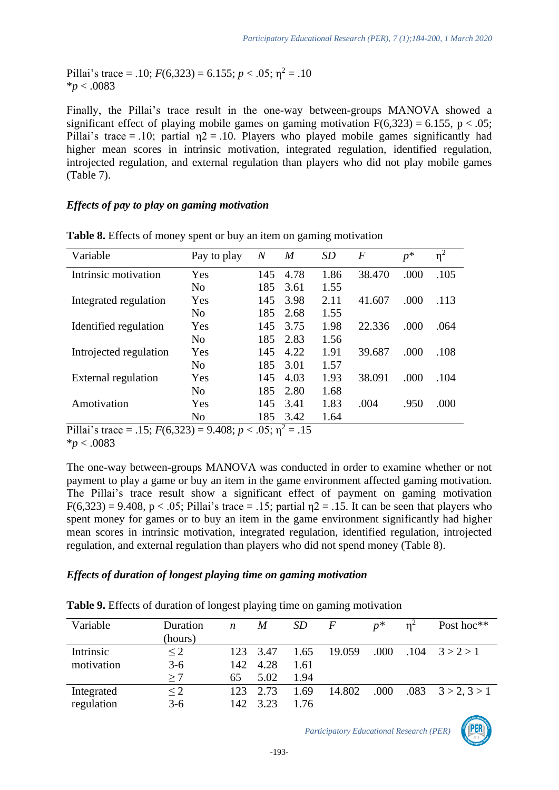Pillai's trace = .10;  $F(6,323) = 6.155$ ;  $p < .05$ ;  $\eta^2 = .10$ \**p* < .0083

Finally, the Pillai's trace result in the one-way between-groups MANOVA showed a significant effect of playing mobile games on gaming motivation  $F(6,323) = 6.155$ , p < .05; Pillai's trace = .10; partial  $\eta$ 2 = .10. Players who played mobile games significantly had higher mean scores in intrinsic motivation, integrated regulation, identified regulation, introjected regulation, and external regulation than players who did not play mobile games (Table 7).

#### *Effects of pay to play on gaming motivation*

| Variable                   | Pay to play    | $\overline{N}$ | M    | SD   | $\bm{F}$ | $p^*$ | $\eta^2$ |
|----------------------------|----------------|----------------|------|------|----------|-------|----------|
| Intrinsic motivation       | Yes            | 145            | 4.78 | 1.86 | 38.470   | .000  | .105     |
|                            | N <sub>0</sub> | 185            | 3.61 | 1.55 |          |       |          |
| Integrated regulation      | Yes            | 145            | 3.98 | 2.11 | 41.607   | .000  | .113     |
|                            | N <sub>o</sub> | 185            | 2.68 | 1.55 |          |       |          |
| Identified regulation      | Yes            | 145            | 3.75 | 1.98 | 22.336   | .000  | .064     |
|                            | N <sub>o</sub> | 185            | 2.83 | 1.56 |          |       |          |
| Introjected regulation     | Yes            | 145            | 4.22 | 1.91 | 39.687   | .000  | .108     |
|                            | N <sub>o</sub> | 185            | 3.01 | 1.57 |          |       |          |
| <b>External regulation</b> | Yes            | 145            | 4.03 | 1.93 | 38.091   | .000  | .104     |
|                            | N <sub>0</sub> | 185            | 2.80 | 1.68 |          |       |          |
| Amotivation                | Yes            | 145            | 3.41 | 1.83 | .004     | .950  | .000     |
|                            | N <sub>o</sub> | 185            | 3.42 | 1.64 |          |       |          |

**Table 8.** Effects of money spent or buy an item on gaming motivation

Pillai's trace = .15;  $F(6,323) = 9.408$ ;  $p < .05$ ;  $p^2 = .15$ \**p* < .0083

The one-way between-groups MANOVA was conducted in order to examine whether or not payment to play a game or buy an item in the game environment affected gaming motivation. The Pillai's trace result show a significant effect of payment on gaming motivation  $F(6,323) = 9.408$ , p < .05; Pillai's trace = .15; partial  $n^2 = 0.15$ . It can be seen that players who spent money for games or to buy an item in the game environment significantly had higher mean scores in intrinsic motivation, integrated regulation, identified regulation, introjected regulation, and external regulation than players who did not spend money (Table 8).

## *Effects of duration of longest playing time on gaming motivation*

| Variable   | Duration<br>(hours) | n    | M    | <i>SD</i> | $\boldsymbol{F}$ | $n^*$ | $n^2$ | Post hoc**                |
|------------|---------------------|------|------|-----------|------------------|-------|-------|---------------------------|
| Intrinsic  | $\leq$ 2            | 123  | 3.47 | 1.65      | 19.059           | .000  | .104  | 3 > 2 > 1                 |
| motivation | $3-6$               | 142. | 4.28 | 1.61      |                  |       |       |                           |
|            | >7                  | 65   | 5.02 | 1.94      |                  |       |       |                           |
| Integrated | $\leq$ 2            | 123  | 2.73 | 1.69      | 14.802           | .000  |       | $.083 \quad 3 > 2, 3 > 1$ |
| regulation | $3 - 6$             | 142  | 3.23 | 1.76      |                  |       |       |                           |

-193-

**Table 9.** Effects of duration of longest playing time on gaming motivation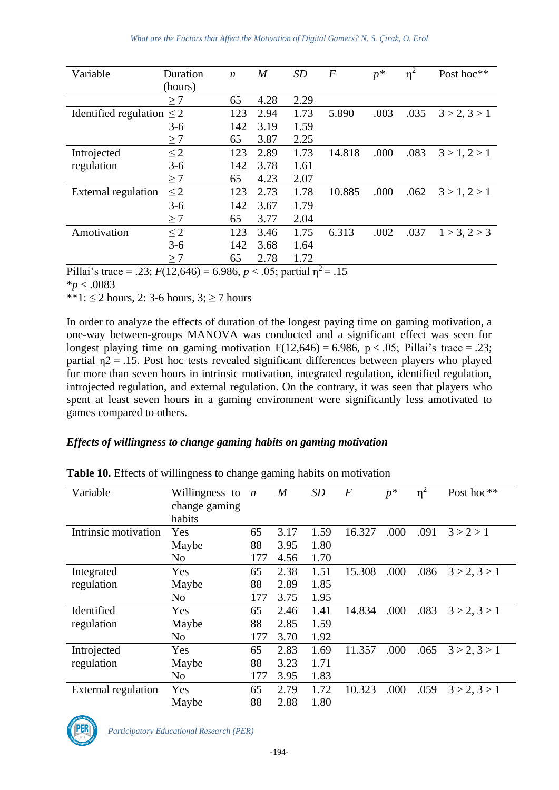| Variable                       | Duration | $\boldsymbol{n}$ | $\overline{M}$ | SD   | $\boldsymbol{F}$ | $p^*$ | $\eta^2$ | Post hoc**   |
|--------------------------------|----------|------------------|----------------|------|------------------|-------|----------|--------------|
|                                | (hours)  |                  |                |      |                  |       |          |              |
|                                | $\geq 7$ | 65               | 4.28           | 2.29 |                  |       |          |              |
| Identified regulation $\leq$ 2 |          | 123              | 2.94           | 1.73 | 5.890            | .003  | .035     | 3 > 2, 3 > 1 |
|                                | $3-6$    | 142              | 3.19           | 1.59 |                  |       |          |              |
|                                | $\geq 7$ | 65               | 3.87           | 2.25 |                  |       |          |              |
| Introjected                    | $\leq$ 2 | 123              | 2.89           | 1.73 | 14.818           | .000  | .083     | 3 > 1, 2 > 1 |
| regulation                     | $3-6$    | 142              | 3.78           | 1.61 |                  |       |          |              |
|                                | >7       | 65               | 4.23           | 2.07 |                  |       |          |              |
| External regulation            | $\leq$ 2 | 123              | 2.73           | 1.78 | 10.885           | .000  | .062     | 3 > 1, 2 > 1 |
|                                | $3 - 6$  | 142              | 3.67           | 1.79 |                  |       |          |              |
|                                | $\geq 7$ | 65               | 3.77           | 2.04 |                  |       |          |              |
| Amotivation                    | $\leq$ 2 | 123              | 3.46           | 1.75 | 6.313            | .002  | .037     | 1 > 3, 2 > 3 |
|                                | $3-6$    | 142              | 3.68           | 1.64 |                  |       |          |              |
|                                | $\geq 7$ | 65               | 2.78           | 1.72 |                  |       |          |              |

Pillai's trace = .23;  $F(12,646) = 6.986$ ,  $p < .05$ ; partial  $\eta^2 = .15$ 

\**p* < .0083

\*\*1:  $\leq$  2 hours, 2: 3-6 hours, 3:  $>$  7 hours

In order to analyze the effects of duration of the longest paying time on gaming motivation, a one-way between-groups MANOVA was conducted and a significant effect was seen for longest playing time on gaming motivation  $F(12,646) = 6.986$ ,  $p < .05$ ; Pillai's trace = .23; partial  $\eta$ 2 = .15. Post hoc tests revealed significant differences between players who played for more than seven hours in intrinsic motivation, integrated regulation, identified regulation, introjected regulation, and external regulation. On the contrary, it was seen that players who spent at least seven hours in a gaming environment were significantly less amotivated to games compared to others.

## *Effects of willingness to change gaming habits on gaming motivation*

| Variable                   | Willingness to<br>change gaming | $\boldsymbol{n}$ | $\boldsymbol{M}$ | <b>SD</b> | F      | $p^*$ | $\eta^2$ | Post hoc**   |
|----------------------------|---------------------------------|------------------|------------------|-----------|--------|-------|----------|--------------|
|                            | habits                          |                  |                  |           |        |       |          |              |
| Intrinsic motivation       | Yes                             | 65               | 3.17             | 1.59      | 16.327 | .000  | .091     | 3 > 2 > 1    |
|                            | Maybe                           | 88               | 3.95             | 1.80      |        |       |          |              |
|                            | No                              | 177              | 4.56             | 1.70      |        |       |          |              |
| Integrated                 | Yes                             | 65               | 2.38             | 1.51      | 15.308 | .000  | .086     | 3 > 2, 3 > 1 |
| regulation                 | Maybe                           | 88               | 2.89             | 1.85      |        |       |          |              |
|                            | No                              | 177              | 3.75             | 1.95      |        |       |          |              |
| Identified                 | Yes                             | 65               | 2.46             | 1.41      | 14.834 | .000  | .083     | 3 > 2, 3 > 1 |
| regulation                 | Maybe                           | 88               | 2.85             | 1.59      |        |       |          |              |
|                            | No                              | 177              | 3.70             | 1.92      |        |       |          |              |
| Introjected                | Yes                             | 65               | 2.83             | 1.69      | 11.357 | .000  | .065     | 3 > 2, 3 > 1 |
| regulation                 | Maybe                           | 88               | 3.23             | 1.71      |        |       |          |              |
|                            | No                              | 177              | 3.95             | 1.83      |        |       |          |              |
| <b>External regulation</b> | Yes                             | 65               | 2.79             | 1.72      | 10.323 | .000  | .059     | 3 > 2, 3 > 1 |
|                            | Maybe                           | 88               | 2.88             | 1.80      |        |       |          |              |

**Table 10.** Effects of willingness to change gaming habits on motivation

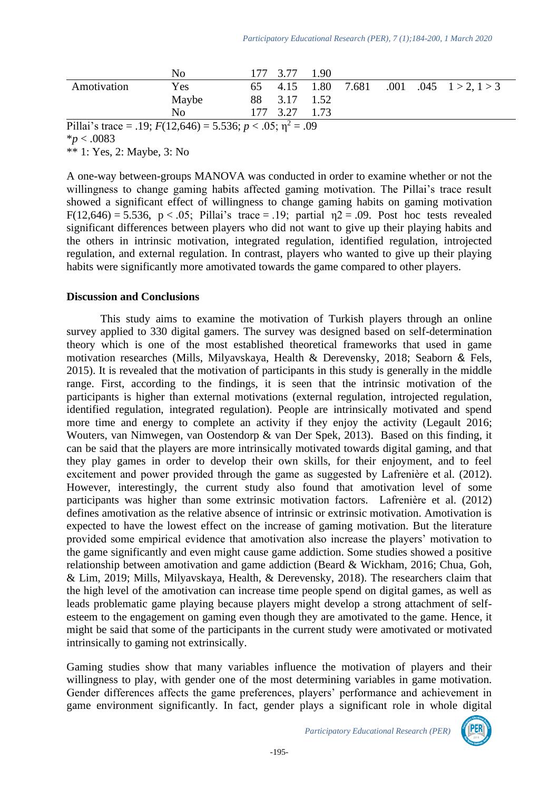|             | No                                                                   |               | 177 3.77 | 1.90          |       |  |                              |  |
|-------------|----------------------------------------------------------------------|---------------|----------|---------------|-------|--|------------------------------|--|
| Amotivation | Yes                                                                  | 65            | 4.15     | 1.80          | 7.681 |  | $.001$ $.045$ $1 > 2, 1 > 3$ |  |
|             | Maybe                                                                | 88            |          | $3.17$ 1.52   |       |  |                              |  |
|             | N <sub>0</sub>                                                       |               | 177 3.27 | 1.73          |       |  |                              |  |
| $-1$        | -----<br>$\mathbf{a} \cdot \mathbf{b} = \mathbf{a} \cdot \mathbf{a}$ | $\sim$ $\sim$ |          | $\sim$ $\sim$ |       |  |                              |  |

Pillai's trace = .19;  $F(12,646) = 5.536$ ;  $p < .05$ ;  $p^2 = .09$ \**p* < .0083

\*\* 1: Yes, 2: Maybe, 3: No

A one-way between-groups MANOVA was conducted in order to examine whether or not the willingness to change gaming habits affected gaming motivation. The Pillai's trace result showed a significant effect of willingness to change gaming habits on gaming motivation F(12,646) = 5.536, p < .05; Pillai's trace = .19; partial  $n2 = .09$ . Post hoc tests revealed significant differences between players who did not want to give up their playing habits and the others in intrinsic motivation, integrated regulation, identified regulation, introjected regulation, and external regulation. In contrast, players who wanted to give up their playing habits were significantly more amotivated towards the game compared to other players.

#### **Discussion and Conclusions**

This study aims to examine the motivation of Turkish players through an online survey applied to 330 digital gamers. The survey was designed based on self-determination theory which is one of the most established theoretical frameworks that used in game motivation researches (Mills, Milyavskaya, Health & Derevensky, 2018; Seaborn & Fels, 2015). It is revealed that the motivation of participants in this study is generally in the middle range. First, according to the findings, it is seen that the intrinsic motivation of the participants is higher than external motivations (external regulation, introjected regulation, identified regulation, integrated regulation). People are intrinsically motivated and spend more time and energy to complete an activity if they enjoy the activity (Legault 2016; [Wouters, van Nimwegen, van Oostendorp & van Der Spek, 2013\).](https://journals.sagepub.com/doi/full/10.1177/1046878116674399) Based on this finding, it can be said that the players are more intrinsically motivated towards digital gaming, and that they play games in order to develop their own skills, for their enjoyment, and to feel excitement and power provided through the game as suggested by Lafrenière et al. (2012). However, interestingly, the current study also found that amotivation level of some participants was higher than some extrinsic motivation factors. Lafrenière et al. (2012) defines amotivation as the relative absence of intrinsic or extrinsic motivation. Amotivation is expected to have the lowest effect on the increase of gaming motivation. But the literature provided some empirical evidence that amotivation also increase the players' motivation to the game significantly and even might cause game addiction. Some studies showed a positive relationship between amotivation and game addiction (Beard & Wickham, 2016; Chua, Goh, & Lim, 2019; Mills, Milyavskaya, Health, & Derevensky, 2018). The researchers claim that the high level of the amotivation can increase time people spend on digital games, as well as leads problematic game playing because players might develop a strong attachment of selfesteem to the engagement on gaming even though they are amotivated to the game. Hence, it might be said that some of the participants in the current study were amotivated or motivated intrinsically to gaming not extrinsically.

Gaming studies show that many variables influence the motivation of players and their willingness to play, with gender one of the most determining variables in game motivation. Gender differences affects the game preferences, players' performance and achievement in game environment significantly. In fact, gender plays a significant role in whole digital

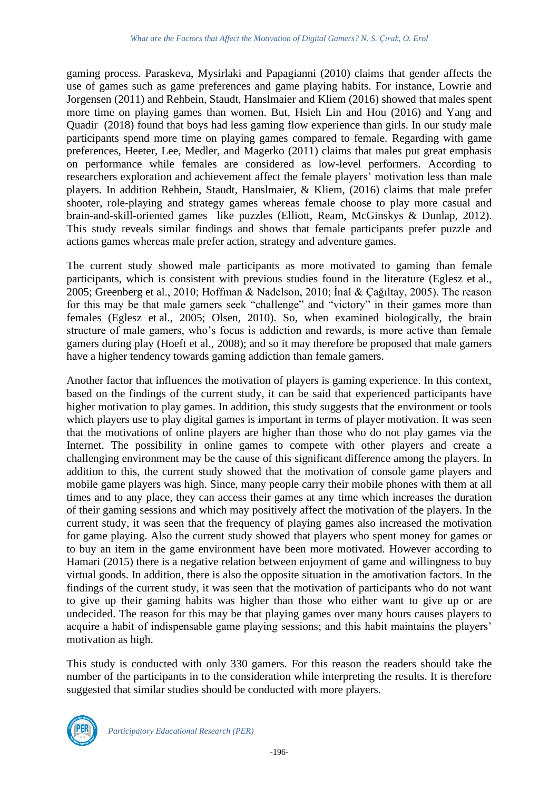gaming process. Paraskeva, Mysirlaki and Papagianni (2010) claims that gender affects the use of games such as game preferences and game playing habits. For instance, Lowrie and Jorgensen (2011) and Rehbein, Staudt, Hanslmaier and Kliem (2016) showed that males spent more time on playing games than women. But, Hsieh Lin and Hou (2016) and Yang and Quadir (2018) found that boys had less gaming flow experience than girls. In our study male participants spend more time on playing games compared to female. Regarding with game preferences, Heeter, Lee, Medler, and Magerko (2011) claims that males put great emphasis on performance while females are considered as low-level performers. According to researchers exploration and achievement affect the female players' motivation less than male players. In addition Rehbein, Staudt, Hanslmaier, & Kliem, (2016) claims that male prefer shooter, role-playing and strategy games whereas female choose to play more casual and brain-and-skill-oriented games like puzzles (Elliott, Ream, McGinskys & Dunlap, 2012). This study reveals similar findings and shows that female participants prefer puzzle and actions games whereas male prefer action, strategy and adventure games.

The current study showed male participants as more motivated to gaming than female participants, which is consistent with previous studies found in the literature (Eglesz et al., 2005; Greenberg et al., 2010; Hoffman & Nadelson, 2010; İnal & Çağıltay, 2005). The reason for this may be that male gamers seek "challenge" and "victory" in their games more than females (Eglesz et al., 2005; Olsen, 2010). So, when examined biologically, the brain structure of male gamers, who's focus is addiction and rewards, is more active than female gamers during play (Hoeft et al., 2008); and so it may therefore be proposed that male gamers have a higher tendency towards gaming addiction than female gamers.

Another factor that influences the motivation of players is gaming experience. In this context, based on the findings of the current study, it can be said that experienced participants have higher motivation to play games. In addition, this study suggests that the environment or tools which players use to play digital games is important in terms of player motivation. It was seen that the motivations of online players are higher than those who do not play games via the Internet. The possibility in online games to compete with other players and create a challenging environment may be the cause of this significant difference among the players. In addition to this, the current study showed that the motivation of console game players and mobile game players was high. Since, many people carry their mobile phones with them at all times and to any place, they can access their games at any time which increases the duration of their gaming sessions and which may positively affect the motivation of the players. In the current study, it was seen that the frequency of playing games also increased the motivation for game playing. Also the current study showed that players who spent money for games or to buy an item in the game environment have been more motivated. However according to Hamari (2015) there is a negative relation between enjoyment of game and willingness to buy virtual goods. In addition, there is also the opposite situation in the amotivation factors. In the findings of the current study, it was seen that the motivation of participants who do not want to give up their gaming habits was higher than those who either want to give up or are undecided. The reason for this may be that playing games over many hours causes players to acquire a habit of indispensable game playing sessions; and this habit maintains the players' motivation as high.

This study is conducted with only 330 gamers. For this reason the readers should take the number of the participants in to the consideration while interpreting the results. It is therefore suggested that similar studies should be conducted with more players.

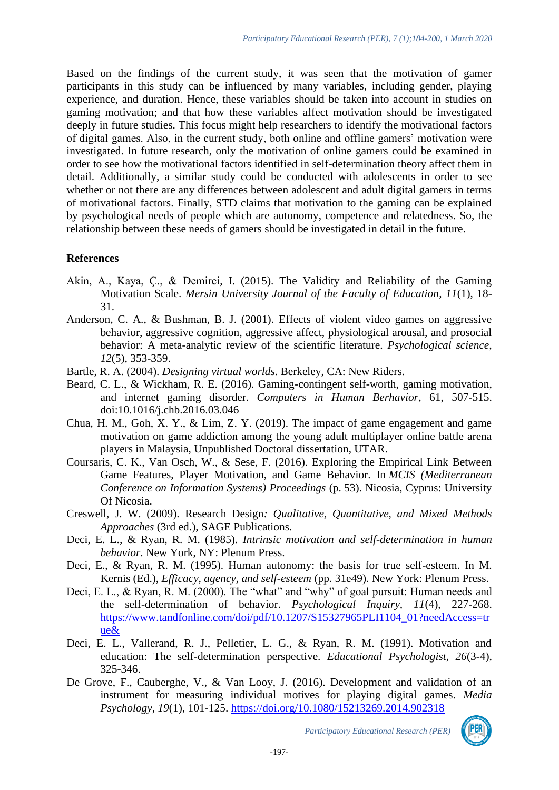Based on the findings of the current study, it was seen that the motivation of gamer participants in this study can be influenced by many variables, including gender, playing experience, and duration. Hence, these variables should be taken into account in studies on gaming motivation; and that how these variables affect motivation should be investigated deeply in future studies. This focus might help researchers to identify the motivational factors of digital games. Also, in the current study, both online and offline gamers' motivation were investigated. In future research, only the motivation of online gamers could be examined in order to see how the motivational factors identified in self-determination theory affect them in detail. Additionally, a similar study could be conducted with adolescents in order to see whether or not there are any differences between adolescent and adult digital gamers in terms of motivational factors. Finally, STD claims that motivation to the gaming can be explained by psychological needs of people which are autonomy, competence and relatedness. So, the relationship between these needs of gamers should be investigated in detail in the future.

### **References**

- Akin, A., Kaya, Ç., & Demirci, I. (2015). The Validity and Reliability of the Gaming Motivation Scale. *Mersin University Journal of the Faculty of Education, 11*(1), 18- 31.
- Anderson, C. A., & Bushman, B. J. (2001). Effects of violent video games on aggressive behavior, aggressive cognition, aggressive affect, physiological arousal, and prosocial behavior: A meta-analytic review of the scientific literature. *Psychological science, 12*(5), 353-359.
- Bartle, R. A. (2004). *Designing virtual worlds*. Berkeley, CA: New Riders.
- Beard, C. L., & Wickham, R. E. (2016). Gaming-contingent self-worth, gaming motivation, and internet gaming disorder. *Computers in Human Berhavior*, 61, 507-515. doi:10.1016/j.chb.2016.03.046
- Chua, H. M., Goh, X. Y., & Lim, Z. Y. (2019). The impact of game engagement and game motivation on game addiction among the young adult multiplayer online battle arena players in Malaysia, Unpublished Doctoral dissertation, UTAR.
- Coursaris, C. K., Van Osch, W., & Sese, F. (2016). Exploring the Empirical Link Between Game Features, Player Motivation, and Game Behavior. In *MCIS (Mediterranean Conference on Information Systems) Proceedings* (p. 53). Nicosia, Cyprus: University Of Nicosia.
- Creswell, J. W. (2009). Research Design*: Qualitative, Quantitative, and Mixed Methods Approaches* (3rd ed.), SAGE Publications.
- Deci, E. L., & Ryan, R. M. (1985). *Intrinsic motivation and self-determination in human behavior*. New York, NY: Plenum Press.
- Deci, E., & Ryan, R. M. (1995). Human autonomy: the basis for true self-esteem. In M. Kernis (Ed.), *Efficacy, agency, and self-esteem* (pp. 31e49). New York: Plenum Press.
- Deci, E. L., & Ryan, R. M. (2000). The "what" and "why" of goal pursuit: Human needs and the self-determination of behavior. *Psychological Inquiry, 11*(4), 227-268. [https://www.tandfonline.com/doi/pdf/10.1207/S15327965PLI1104\\_01?needAccess=tr](https://www.tandfonline.com/doi/pdf/10.1207/S15327965PLI1104_01?needAccess=true&) [ue&](https://www.tandfonline.com/doi/pdf/10.1207/S15327965PLI1104_01?needAccess=true&)
- Deci, E. L., Vallerand, R. J., Pelletier, L. G., & Ryan, R. M. (1991). Motivation and education: The self-determination perspective. *Educational Psychologist, 26*(3-4), 325-346.
- De Grove, F., Cauberghe, V., & Van Looy, J. (2016). Development and validation of an instrument for measuring individual motives for playing digital games. *Media Psychology*, *19*(1), 101-125.<https://doi.org/10.1080/15213269.2014.902318>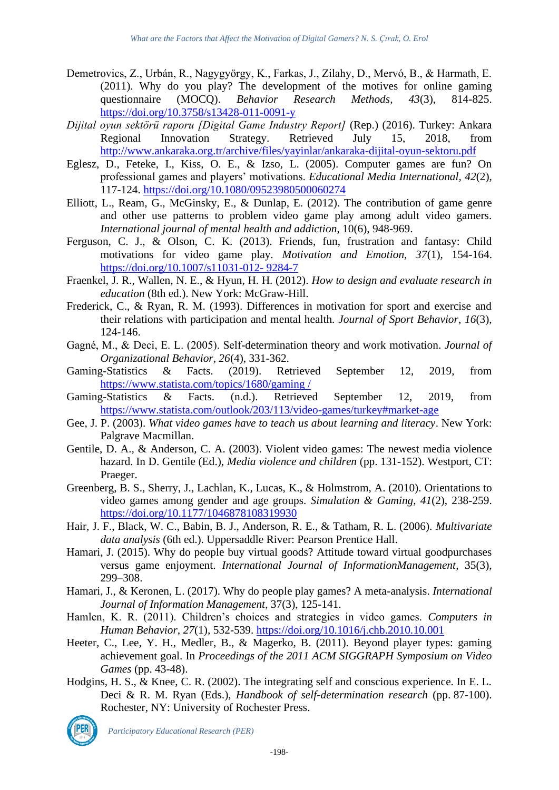- Demetrovics, Z., Urbán, R., Nagygyörgy, K., Farkas, J., Zilahy, D., Mervó, B., & Harmath, E. (2011). Why do you play? The development of the motives for online gaming questionnaire (MOCO). *Behavior Research Methods*,  $43(3)$ ,  $814-825$ . questionnaire (MOCQ). *Behavior Research Methods, 43*(3), 814-825. <https://doi.org/10.3758/s13428-011-0091-y>
- *Dijital oyun sektörü raporu [Digital Game Industry Report]* (Rep.) (2016). Turkey: Ankara Regional Innovation Strategy. Retrieved July 15, 2018, from <http://www.ankaraka.org.tr/archive/files/yayinlar/ankaraka-dijital-oyun-sektoru.pdf>
- Eglesz, D., Feteke, I., Kiss, O. E., & Izso, L. (2005). Computer games are fun? On professional games and players' motivations. *Educational Media International, 42*(2), 117-124.<https://doi.org/10.1080/09523980500060274>
- Elliott, L., Ream, G., McGinsky, E., & Dunlap, E. (2012). The contribution of game genre and other use patterns to problem video game play among adult video gamers. *International journal of mental health and addiction*, 10(6), 948-969.
- Ferguson, C. J., & Olson, C. K. (2013). Friends, fun, frustration and fantasy: Child motivations for video game play. *Motivation and Emotion, 37*(1), 154-164. [https://doi.org/10.1007/s11031-012-](https://doi.org/10.1007/s11031-012-%209284-7) 9284-7
- Fraenkel, J. R., Wallen, N. E., & Hyun, H. H. (2012). *How to design and evaluate research in education* (8th ed.). New York: McGraw-Hill.
- Frederick, C., & Ryan, R. M. (1993). Differences in motivation for sport and exercise and their relations with participation and mental health. *Journal of Sport Behavior*, *16*(3)*,*  124-146.
- Gagné, M., & Deci, E. L. (2005). Self-determination theory and work motivation. *Journal of Organizational Behavior, 26*(4), 331-362.
- Gaming-Statistics & Facts. (2019). Retrieved September 12, 2019, from [https://www.statista.com/topics/1680/gaming /](https://www.statista.com/topics/1680/gaming%20/)
- Gaming-Statistics & Facts. (n.d.). Retrieved September 12, 2019, from <https://www.statista.com/outlook/203/113/video-games/turkey#market-age>
- Gee, J. P. (2003). *What video games have to teach us about learning and literacy*. New York: Palgrave Macmillan.
- Gentile, D. A., & Anderson, C. A. (2003). Violent video games: The newest media violence hazard. In D. Gentile (Ed.), *Media violence and children* (pp. 131-152). Westport, CT: Praeger.
- Greenberg, B. S., Sherry, J., Lachlan, K., Lucas, K., & Holmstrom, A. (2010). Orientations to video games among gender and age groups. *Simulation & Gaming, 41*(2), 238-259. <https://doi.org/10.1177/1046878108319930>
- Hair, J. F., Black, W. C., Babin, B. J., Anderson, R. E., & Tatham, R. L. (2006). *Multivariate data analysis* (6th ed.). Uppersaddle River: Pearson Prentice Hall.
- Hamari, J. (2015). Why do people buy virtual goods? Attitude toward virtual goodpurchases versus game enjoyment. *International Journal of InformationManagement*, 35(3), 299–308.
- Hamari, J., & Keronen, L. (2017). Why do people play games? A meta-analysis. *International Journal of Information Management*, 37(3), 125-141.
- Hamlen, K. R. (2011). Children's choices and strategies in video games. *Computers in Human Behavior, 27*(1), 532-539.<https://doi.org/10.1016/j.chb.2010.10.001>
- Heeter, C., Lee, Y. H., Medler, B., & Magerko, B. (2011). Beyond player types: gaming achievement goal. In *Proceedings of the 2011 ACM SIGGRAPH Symposium on Video Games* (pp. 43-48).
- Hodgins, H. S., & Knee, C. R. (2002). The integrating self and conscious experience. In E. L. Deci & R. M. Ryan (Eds.), *Handbook of self-determination research* (pp. 87-100). Rochester, NY: University of Rochester Press.

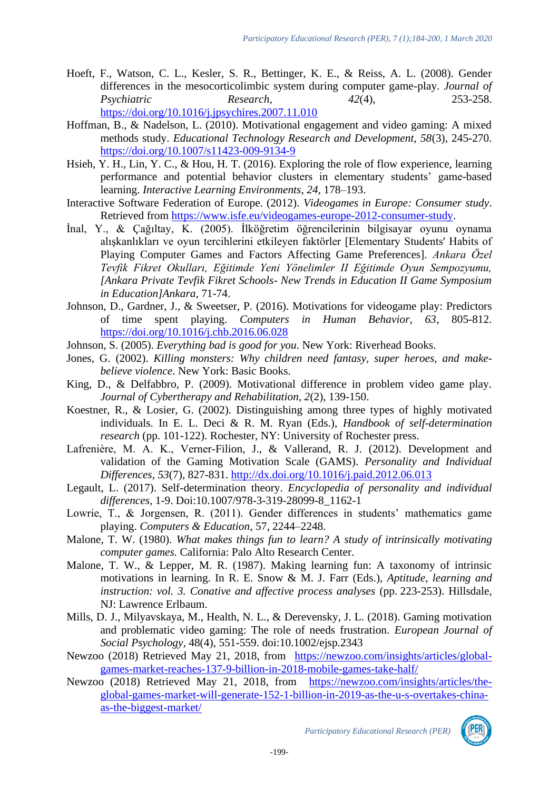- Hoeft, F., Watson, C. L., Kesler, S. R., Bettinger, K. E., & Reiss, A. L. (2008). Gender differences in the mesocorticolimbic system during computer game-play. *Journal of Psychiatric* Research, 253-258. *Psychiatric* Research, <https://doi.org/10.1016/j.jpsychires.2007.11.010>
- Hoffman, B., & Nadelson, L. (2010). Motivational engagement and video gaming: A mixed methods study. *Educational Technology Research and Development, 58*(3), 245-270. <https://doi.org/10.1007/s11423-009-9134-9>
- Hsieh, Y. H., Lin, Y. C., & Hou, H. T. (2016). Exploring the role of flow experience, learning performance and potential behavior clusters in elementary students' game-based learning. *Interactive Learning Environments*, *24*, 178–193.
- Interactive Software Federation of Europe. (2012). *Videogames in Europe: Consumer study*. Retrieved from [https://www.isfe.eu/videogames-europe-2012-consumer-study.](https://www.isfe.eu/videogames-europe-2012-consumer-study)
- İnal, Y., & Çağıltay, K. (2005). İlköğretim öğrencilerinin bilgisayar oyunu oynama alışkanlıkları ve oyun tercihlerini etkileyen faktörler [Elementary Students' Habits of Playing Computer Games and Factors Affecting Game Preferences]. *Ankara Özel Tevfik Fikret Okulları, Eğitimde Yeni Yönelimler II Eğitimde Oyun Sempozyumu, [Ankara Private Tevfik Fikret Schools- New Trends in Education II Game Symposium in Education]Ankara*, 71-74.
- Johnson, D., Gardner, J., & Sweetser, P. (2016). Motivations for videogame play: Predictors of time spent playing. *Computers in Human Behavior, 63*, 805-812. <https://doi.org/10.1016/j.chb.2016.06.028>
- Johnson, S. (2005). *Everything bad is good for you*. New York: Riverhead Books.
- Jones, G. (2002). *Killing monsters: Why children need fantasy, super heroes, and makebelieve violence*. New York: Basic Books.
- King, D., & Delfabbro, P. (2009). Motivational difference in problem video game play. *Journal of Cybertherapy and Rehabilitation, 2*(2), 139-150.
- Koestner, R., & Losier, G. (2002). Distinguishing among three types of highly motivated individuals. In E. L. Deci & R. M. Ryan (Eds.), *Handbook of self-determination research* (pp. 101-122). Rochester, NY: University of Rochester press.
- Lafrenière, M. A. K., Verner-Filion, J., & Vallerand, R. J. (2012). Development and validation of the Gaming Motivation Scale (GAMS). *Personality and Individual Differences*, *53*(7), 827-831.<http://dx.doi.org/10.1016/j.paid.2012.06.013>
- Legault, L. (2017). Self-determination theory. *Encyclopedia of personality and individual differences,* 1-9. Doi:10.1007/978-3-319-28099-8\_1162-1
- Lowrie, T., & Jorgensen, R. (2011). Gender differences in students' mathematics game playing. *Computers & Education*, 57, 2244–2248.
- Malone, T. W. (1980). *What makes things fun to learn? A study of intrinsically motivating computer games.* California: Palo Alto Research Center.
- Malone, T. W., & Lepper, M. R. (1987). Making learning fun: A taxonomy of intrinsic motivations in learning. In R. E. Snow & M. J. Farr (Eds.), *Aptitude, learning and instruction: vol. 3. Conative and affective process analyses (pp. 223-253). Hillsdale,* NJ: Lawrence Erlbaum.
- Mills, D. J., Milyavskaya, M., Health, N. L., & Derevensky, J. L. (2018). Gaming motivation and problematic video gaming: The role of needs frustration. *European Journal of Social Psychology,* 48(4), 551-559. doi:10.1002/ejsp.2343
- Newzoo (2018) Retrieved May 21, 2018, from [https://newzoo.com/insights/articles/global](https://newzoo.com/insights/articles/global-games-market-reaches-137-9-billion-in-2018-mobile-games-take-half/)[games-market-reaches-137-9-billion-in-2018-mobile-games-take-half/](https://newzoo.com/insights/articles/global-games-market-reaches-137-9-billion-in-2018-mobile-games-take-half/)
- Newzoo (2018) Retrieved May 21, 2018, from [https://newzoo.com/insights/articles/the](https://newzoo.com/insights/articles/the-global-games-market-will-generate-152-1-billion-in-2019-as-the-u-s-overtakes-china-as-the-biggest-market/)[global-games-market-will-generate-152-1-billion-in-2019-as-the-u-s-overtakes-china](https://newzoo.com/insights/articles/the-global-games-market-will-generate-152-1-billion-in-2019-as-the-u-s-overtakes-china-as-the-biggest-market/)[as-the-biggest-market/](https://newzoo.com/insights/articles/the-global-games-market-will-generate-152-1-billion-in-2019-as-the-u-s-overtakes-china-as-the-biggest-market/)